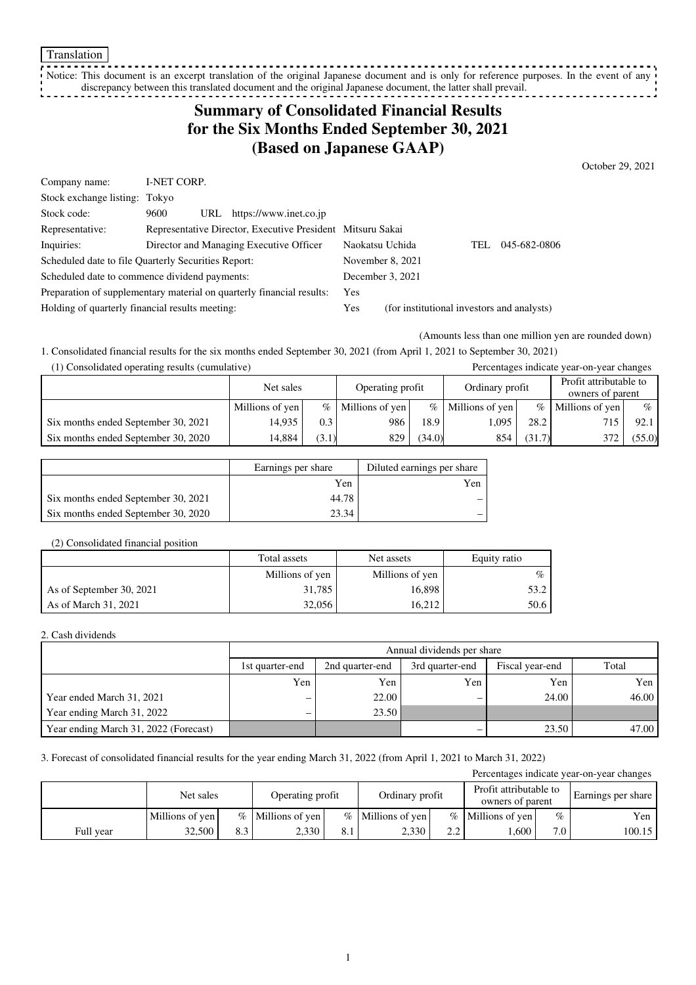Notice: This document is an excerpt translation of the original Japanese document and is only for reference purposes. In the event of any discrepancy between this translated document and the original Japanese document, the latter shall prevail.

## **Summary of Consolidated Financial Results for the Six Months Ended September 30, 2021 (Based on Japanese GAAP)**

October 29, 2021

| Company name:                                                         | <b>I-NET CORP.</b> |     |                                                            |                  |                                            |      |              |
|-----------------------------------------------------------------------|--------------------|-----|------------------------------------------------------------|------------------|--------------------------------------------|------|--------------|
| Stock exchange listing: Tokyo                                         |                    |     |                                                            |                  |                                            |      |              |
| Stock code:                                                           | 9600               | URL | https://www.inet.co.jp                                     |                  |                                            |      |              |
| Representative:                                                       |                    |     | Representative Director, Executive President Mitsuru Sakai |                  |                                            |      |              |
| Inquiries:                                                            |                    |     | Director and Managing Executive Officer                    | Naokatsu Uchida  |                                            | TEL. | 045-682-0806 |
| Scheduled date to file Quarterly Securities Report:                   |                    |     | November 8, 2021                                           |                  |                                            |      |              |
| Scheduled date to commence dividend payments:                         |                    |     |                                                            | December 3, 2021 |                                            |      |              |
| Preparation of supplementary material on quarterly financial results: |                    |     |                                                            | Yes              |                                            |      |              |
| Holding of quarterly financial results meeting:                       |                    |     |                                                            | Yes              | (for institutional investors and analysts) |      |              |

(Amounts less than one million yen are rounded down)

1. Consolidated financial results for the six months ended September 30, 2021 (from April 1, 2021 to September 30, 2021) (1) Consolidated operating results (cumulative) Percentages indicate year-on-year changes

| (1) Consondated operating results (cumulative) |                 |       |                  |        |                     |        | Percentages murcate year-on-year changes   |        |
|------------------------------------------------|-----------------|-------|------------------|--------|---------------------|--------|--------------------------------------------|--------|
|                                                | Net sales       |       | Operating profit |        | Ordinary profit     |        | Profit attributable to<br>owners of parent |        |
|                                                | Millions of yen | $\%$  | Millions of yen  |        | $%$ Millions of yen | $\%$   | Millions of yen                            | $\%$   |
| Six months ended September 30, 2021            | 14.935          | 0.3   | 986              | 18.9   | 1.095               | 28.2   |                                            | 92.1   |
| Six months ended September 30, 2020            | 14.884          | (3.1) | 829              | (34.0) | 854                 | (31.7) | 372                                        | (55.0) |

|                                     | Earnings per share | Diluted earnings per share |
|-------------------------------------|--------------------|----------------------------|
|                                     | Yen                | Yen                        |
| Six months ended September 30, 2021 | 44.78              |                            |
| Six months ended September 30, 2020 | 23.34              |                            |

### (2) Consolidated financial position

|                          | Total assets    | Net assets      | Equity ratio |
|--------------------------|-----------------|-----------------|--------------|
|                          | Millions of yen | Millions of yen | $\%$         |
| As of September 30, 2021 | 31.785          | 16,898          | 53.2 I       |
| As of March 31, 2021     | 32,056          | 16.212          | 50.6         |

### 2. Cash dividends

|                                       | Annual dividends per share |                 |                 |       |       |  |  |
|---------------------------------------|----------------------------|-----------------|-----------------|-------|-------|--|--|
|                                       | 1st quarter-end            | 2nd quarter-end | Fiscal year-end | Total |       |  |  |
|                                       | Yen                        | Yen             | Yen             | Yen   | Yen   |  |  |
| Year ended March 31, 2021             | $\overline{\phantom{m}}$   | 22.00           | –               | 24.00 | 46.00 |  |  |
| Year ending March 31, 2022            | -                          | 23.50           |                 |       |       |  |  |
| Year ending March 31, 2022 (Forecast) |                            |                 |                 | 23.50 | 47.00 |  |  |

### 3. Forecast of consolidated financial results for the year ending March 31, 2022 (from April 1, 2021 to March 31, 2022)

| Percentages indicate year-on-year changes |                 |     |                     |                  |                     |                 |                     |                                            |                    |
|-------------------------------------------|-----------------|-----|---------------------|------------------|---------------------|-----------------|---------------------|--------------------------------------------|--------------------|
|                                           | Net sales       |     |                     | Operating profit |                     | Ordinary profit |                     | Profit attributable to<br>owners of parent | Earnings per share |
|                                           | Millions of yen |     | $%$ Millions of yen |                  | $%$ Millions of yen |                 | $%$ Millions of yen | $\%$                                       | Yen                |
| Full year                                 | 32,500          | 8.3 | 2,330               | 8.1              | 2,330               | 2.2             | 0.600               | 7.0                                        | 100.15             |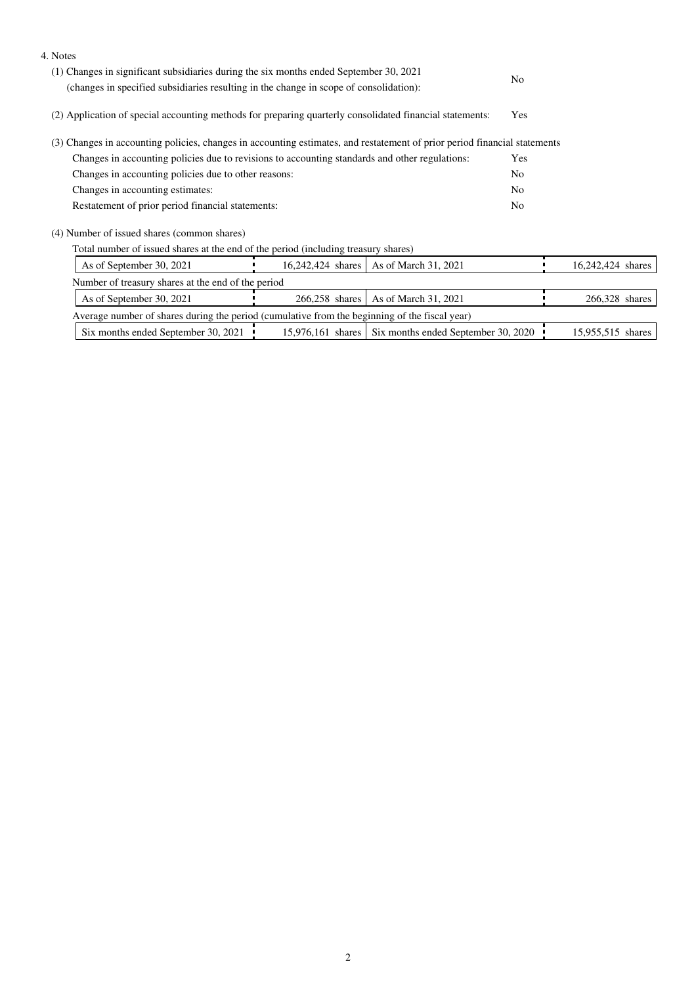| 4. Notes                                                                                                                  |                   |                                                       |                |                   |
|---------------------------------------------------------------------------------------------------------------------------|-------------------|-------------------------------------------------------|----------------|-------------------|
| (1) Changes in significant subsidiaries during the six months ended September 30, 2021                                    |                   |                                                       |                |                   |
| (changes in specified subsidiaries resulting in the change in scope of consolidation):                                    |                   |                                                       | N <sub>0</sub> |                   |
| (2) Application of special accounting methods for preparing quarterly consolidated financial statements:                  |                   |                                                       |                |                   |
| (3) Changes in accounting policies, changes in accounting estimates, and restatement of prior period financial statements |                   |                                                       |                |                   |
| Changes in accounting policies due to revisions to accounting standards and other regulations:                            |                   |                                                       | Yes            |                   |
| Changes in accounting policies due to other reasons:                                                                      |                   |                                                       | N <sub>0</sub> |                   |
| Changes in accounting estimates:                                                                                          |                   |                                                       | No             |                   |
| Restatement of prior period financial statements:                                                                         |                   |                                                       | No             |                   |
| (4) Number of issued shares (common shares)                                                                               |                   |                                                       |                |                   |
| Total number of issued shares at the end of the period (including treasury shares)                                        |                   |                                                       |                |                   |
| As of September 30, 2021                                                                                                  | 16,242,424 shares | As of March 31, 2021                                  |                | 16,242,424 shares |
| Number of treasury shares at the end of the period                                                                        |                   |                                                       |                |                   |
| As of September 30, 2021                                                                                                  | 266,258 shares    | As of March 31, 2021                                  |                | 266,328 shares    |
| Average number of shares during the period (cumulative from the beginning of the fiscal year)                             |                   |                                                       |                |                   |
| Six months ended September 30, 2021                                                                                       |                   | 15,976,161 shares Six months ended September 30, 2020 |                | 15,955,515 shares |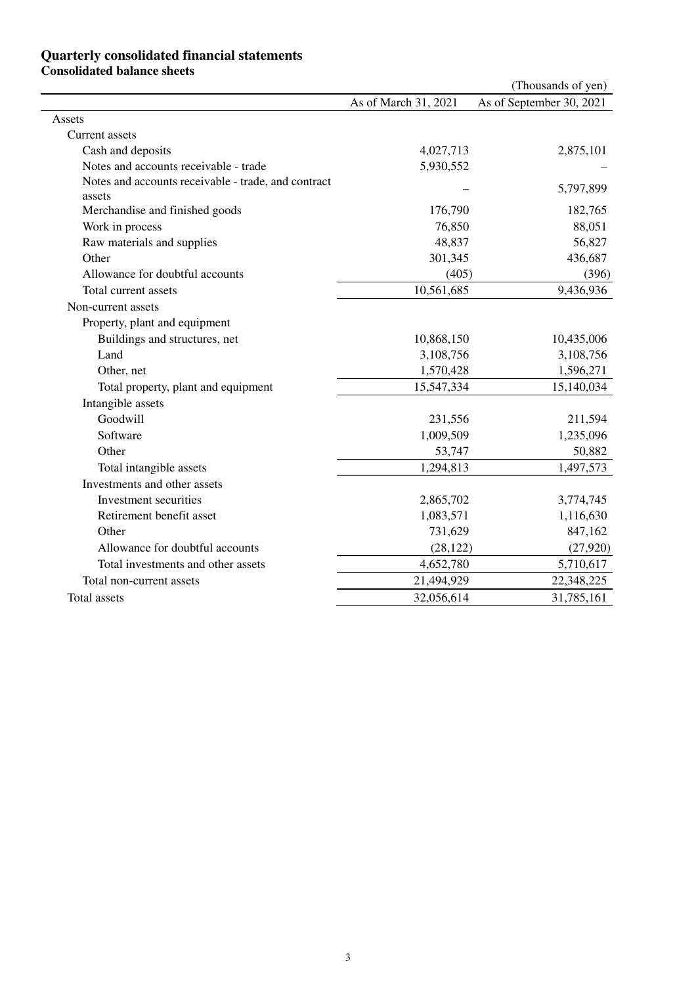## **Quarterly consolidated financial statements Consolidated balance sheets**

|                                                               |                      | (Thousands of yen)       |
|---------------------------------------------------------------|----------------------|--------------------------|
|                                                               | As of March 31, 2021 | As of September 30, 2021 |
| Assets                                                        |                      |                          |
| Current assets                                                |                      |                          |
| Cash and deposits                                             | 4,027,713            | 2,875,101                |
| Notes and accounts receivable - trade                         | 5,930,552            |                          |
| Notes and accounts receivable - trade, and contract<br>assets |                      | 5,797,899                |
| Merchandise and finished goods                                | 176,790              | 182,765                  |
| Work in process                                               | 76,850               | 88,051                   |
| Raw materials and supplies                                    | 48,837               | 56,827                   |
| Other                                                         | 301,345              | 436,687                  |
| Allowance for doubtful accounts                               | (405)                | (396)                    |
| Total current assets                                          | 10,561,685           | 9,436,936                |
| Non-current assets                                            |                      |                          |
| Property, plant and equipment                                 |                      |                          |
| Buildings and structures, net                                 | 10,868,150           | 10,435,006               |
| Land                                                          | 3,108,756            | 3,108,756                |
| Other, net                                                    | 1,570,428            | 1,596,271                |
| Total property, plant and equipment                           | 15,547,334           | 15,140,034               |
| Intangible assets                                             |                      |                          |
| Goodwill                                                      | 231,556              | 211,594                  |
| Software                                                      | 1,009,509            | 1,235,096                |
| Other                                                         | 53,747               | 50,882                   |
| Total intangible assets                                       | 1,294,813            | 1,497,573                |
| Investments and other assets                                  |                      |                          |
| Investment securities                                         | 2,865,702            | 3,774,745                |
| Retirement benefit asset                                      | 1,083,571            | 1,116,630                |
| Other                                                         | 731,629              | 847,162                  |
| Allowance for doubtful accounts                               | (28, 122)            | (27, 920)                |
| Total investments and other assets                            | 4,652,780            | 5,710,617                |
| Total non-current assets                                      | 21,494,929           | 22,348,225               |
| Total assets                                                  | 32,056,614           | 31,785,161               |
|                                                               |                      |                          |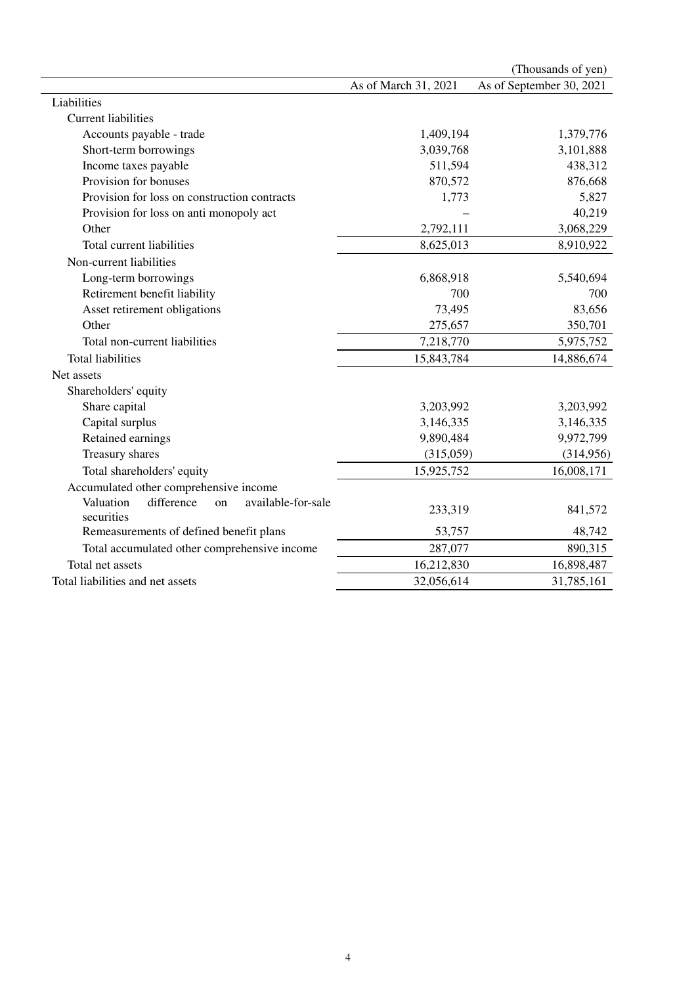|                                                                   |                      | (Thousands of yen)       |
|-------------------------------------------------------------------|----------------------|--------------------------|
|                                                                   | As of March 31, 2021 | As of September 30, 2021 |
| Liabilities                                                       |                      |                          |
| <b>Current liabilities</b>                                        |                      |                          |
| Accounts payable - trade                                          | 1,409,194            | 1,379,776                |
| Short-term borrowings                                             | 3,039,768            | 3,101,888                |
| Income taxes payable                                              | 511,594              | 438,312                  |
| Provision for bonuses                                             | 870,572              | 876,668                  |
| Provision for loss on construction contracts                      | 1,773                | 5,827                    |
| Provision for loss on anti monopoly act                           |                      | 40,219                   |
| Other                                                             | 2,792,111            | 3,068,229                |
| Total current liabilities                                         | 8,625,013            | 8,910,922                |
| Non-current liabilities                                           |                      |                          |
| Long-term borrowings                                              | 6,868,918            | 5,540,694                |
| Retirement benefit liability                                      | 700                  | 700                      |
| Asset retirement obligations                                      | 73,495               | 83,656                   |
| Other                                                             | 275,657              | 350,701                  |
| Total non-current liabilities                                     | 7,218,770            | 5,975,752                |
| <b>Total liabilities</b>                                          | 15,843,784           | 14,886,674               |
| Net assets                                                        |                      |                          |
| Shareholders' equity                                              |                      |                          |
| Share capital                                                     | 3,203,992            | 3,203,992                |
| Capital surplus                                                   | 3,146,335            | 3,146,335                |
| Retained earnings                                                 | 9,890,484            | 9,972,799                |
| Treasury shares                                                   | (315,059)            | (314,956)                |
| Total shareholders' equity                                        | 15,925,752           | 16,008,171               |
| Accumulated other comprehensive income                            |                      |                          |
| Valuation<br>available-for-sale<br>difference<br>on<br>securities | 233,319              | 841,572                  |
| Remeasurements of defined benefit plans                           | 53,757               | 48,742                   |
| Total accumulated other comprehensive income                      | 287,077              | 890,315                  |
| Total net assets                                                  | 16,212,830           | 16,898,487               |
| Total liabilities and net assets                                  | 32,056,614           | 31,785,161               |
|                                                                   |                      |                          |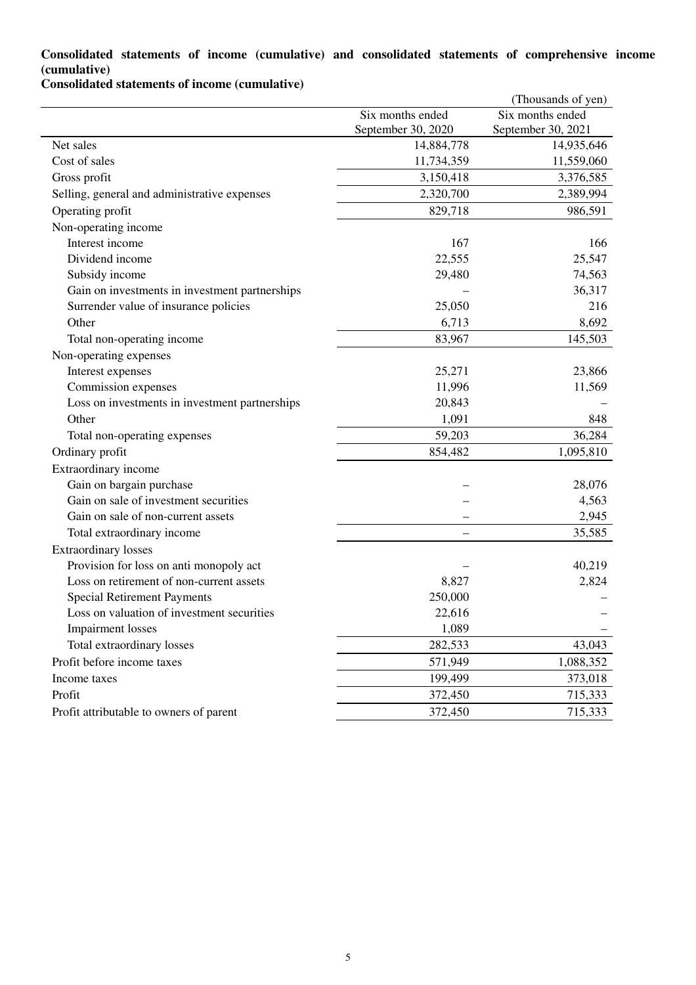## **Consolidated statements of income (cumulative) and consolidated statements of comprehensive income (cumulative)**

**Consolidated statements of income (cumulative)**

|                                                |                          | (Thousands of yen) |
|------------------------------------------------|--------------------------|--------------------|
|                                                | Six months ended         | Six months ended   |
|                                                | September 30, 2020       | September 30, 2021 |
| Net sales                                      | 14,884,778               | 14,935,646         |
| Cost of sales                                  | 11,734,359               | 11,559,060         |
| Gross profit                                   | 3,150,418                | 3,376,585          |
| Selling, general and administrative expenses   | 2,320,700                | 2,389,994          |
| Operating profit                               | 829,718                  | 986,591            |
| Non-operating income                           |                          |                    |
| Interest income                                | 167                      | 166                |
| Dividend income                                | 22,555                   | 25,547             |
| Subsidy income                                 | 29,480                   | 74,563             |
| Gain on investments in investment partnerships |                          | 36,317             |
| Surrender value of insurance policies          | 25,050                   | 216                |
| Other                                          | 6,713                    | 8,692              |
| Total non-operating income                     | 83,967                   | 145,503            |
| Non-operating expenses                         |                          |                    |
| Interest expenses                              | 25,271                   | 23,866             |
| Commission expenses                            | 11,996                   | 11,569             |
| Loss on investments in investment partnerships | 20,843                   |                    |
| Other                                          | 1,091                    | 848                |
| Total non-operating expenses                   | 59,203                   | 36,284             |
| Ordinary profit                                | 854,482                  | 1,095,810          |
| Extraordinary income                           |                          |                    |
| Gain on bargain purchase                       |                          | 28,076             |
| Gain on sale of investment securities          |                          | 4,563              |
| Gain on sale of non-current assets             |                          | 2,945              |
| Total extraordinary income                     | $\overline{\phantom{0}}$ | 35,585             |
| <b>Extraordinary losses</b>                    |                          |                    |
| Provision for loss on anti monopoly act        |                          | 40,219             |
| Loss on retirement of non-current assets       | 8,827                    | 2,824              |
| <b>Special Retirement Payments</b>             | 250,000                  |                    |
| Loss on valuation of investment securities     | 22,616                   |                    |
| <b>Impairment</b> losses                       | 1,089                    |                    |
| Total extraordinary losses                     | 282,533                  | 43,043             |
| Profit before income taxes                     | 571,949                  | 1,088,352          |
| Income taxes                                   | 199,499                  | 373,018            |
| Profit                                         | 372,450                  | 715,333            |
| Profit attributable to owners of parent        | 372,450                  | 715,333            |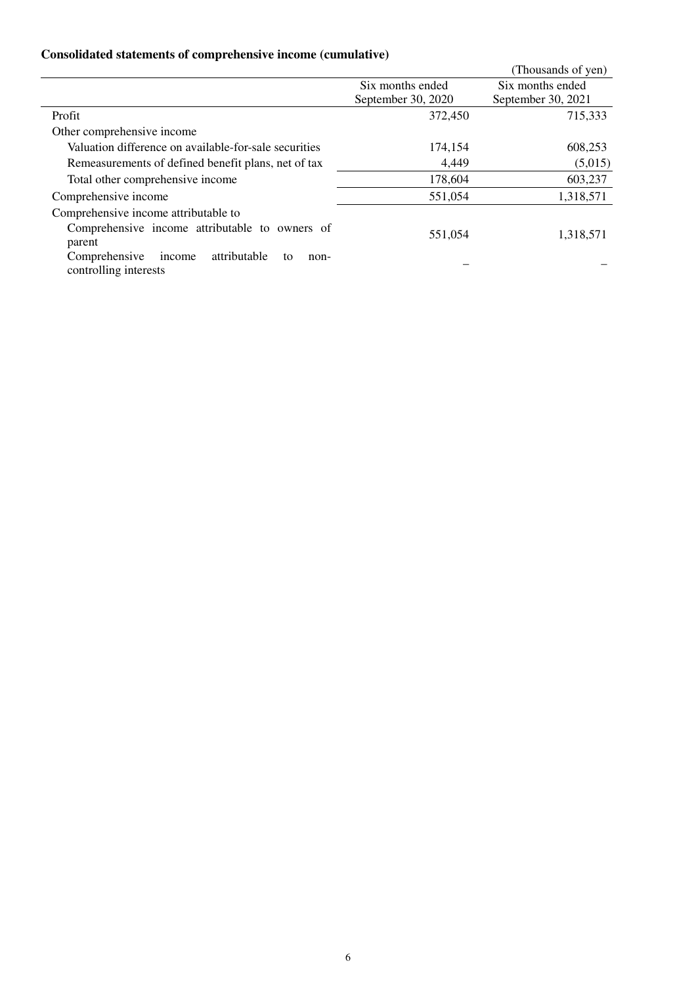# **Consolidated statements of comprehensive income (cumulative)**

|                                                                                |                    | (Thousands of yen) |
|--------------------------------------------------------------------------------|--------------------|--------------------|
|                                                                                | Six months ended   | Six months ended   |
|                                                                                | September 30, 2020 | September 30, 2021 |
| Profit                                                                         | 372,450            | 715,333            |
| Other comprehensive income                                                     |                    |                    |
| Valuation difference on available-for-sale securities                          | 174,154            | 608,253            |
| Remeasurements of defined benefit plans, net of tax                            | 4,449              | (5,015)            |
| Total other comprehensive income                                               | 178,604            | 603,237            |
| Comprehensive income                                                           | 551,054            | 1,318,571          |
| Comprehensive income attributable to                                           |                    |                    |
| Comprehensive income attributable to owners of<br>parent                       | 551.054            | 1,318,571          |
| attributable<br>Comprehensive<br>income<br>to<br>non-<br>controlling interests |                    |                    |